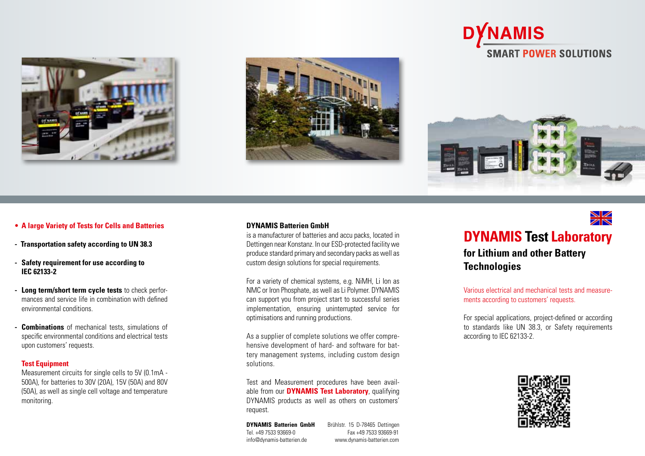





## • **A large Variety of Tests for Cells and Batteries**

- **- Transportation safety according to UN 38.3**
- **- Safety requirement for use according to IEC 62133-2**
- **- Long term/short term cycle tests** to check perfor mances and service life in combination with defined environmental conditions.
- **- Combinations** of mechanical tests, simulations of specific environmental conditions and electrical tests upon customers' requests.

#### **Test Equipment**

Measurement circuits for single cells to 5V (0.1mA - 500A), for batteries to 30V (20A), 15V (50A) and 80V (50A), as well as single cell voltage and temperature monitoring.

#### **DYNAMIS Batterien GmbH**

is a manufacturer of batteries and accu packs, located in Dettingen near Konstanz. In our ESD-protected facility we produce standard primary and secondary packs as well as custom design solutions for special requirements.

For a variety of chemical systems, e.g. NiMH, Li Ion as NMC or Iron Phosphate, as well as Li Polymer. DYNAMIS can support you from project start to successful series implementation, ensuring uninterrupted service for optimisations and running productions.

As a supplier of complete solutions we offer compre hensive development of hard- and software for bat tery management systems, including custom design solutions.

Test and Measurement procedures have been avail able from our **DYNAMIS Test Laboratory**, qualifying DYNAMIS products as well as others on customers' request.

Tel. +49 7533 93669-0 Fax +49 7533 93669-91 info@dynamis-batterien.de www.dynamis-batterien.com

**DYNAMIS Batterien GmbH** Brühlstr. 15 D-78465 Dettingen



# **DYNAMIS Test Laboratory**

**for Lithium and other Battery Technologies**

Various electrical and mechanical tests and measure ments according to customers' requests.

For special applications, project-defined or according to standards like UN 38.3, or Safety requirements according to IEC 62133-2.